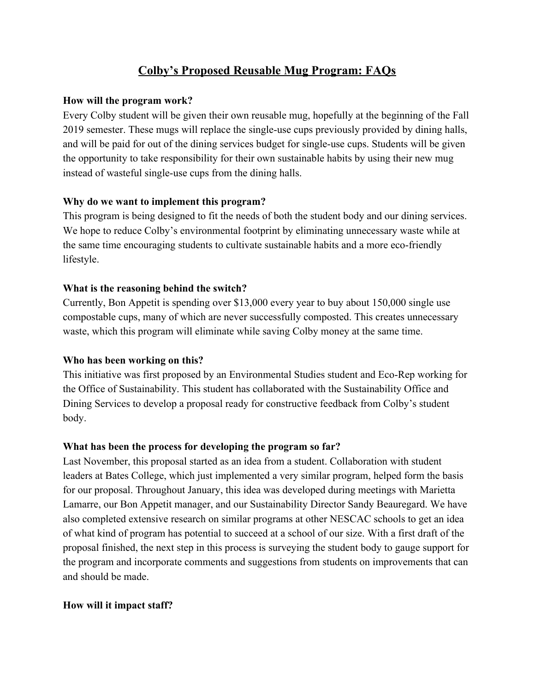# **Colby's Proposed Reusable Mug Program: FAQs**

#### **How will the program work?**

Every Colby student will be given their own reusable mug, hopefully at the beginning of the Fall 2019 semester. These mugs will replace the single-use cups previously provided by dining halls, and will be paid for out of the dining services budget for single-use cups. Students will be given the opportunity to take responsibility for their own sustainable habits by using their new mug instead of wasteful single-use cups from the dining halls.

# **Why do we want to implement this program?**

This program is being designed to fit the needs of both the student body and our dining services. We hope to reduce Colby's environmental footprint by eliminating unnecessary waste while at the same time encouraging students to cultivate sustainable habits and a more eco-friendly lifestyle.

# **What is the reasoning behind the switch?**

Currently, Bon Appetit is spending over \$13,000 every year to buy about 150,000 single use compostable cups, many of which are never successfully composted. This creates unnecessary waste, which this program will eliminate while saving Colby money at the same time.

# **Who has been working on this?**

This initiative was first proposed by an Environmental Studies student and Eco-Rep working for the Office of Sustainability. This student has collaborated with the Sustainability Office and Dining Services to develop a proposal ready for constructive feedback from Colby's student body.

# **What has been the process for developing the program so far?**

Last November, this proposal started as an idea from a student. Collaboration with student leaders at Bates College, which just implemented a very similar program, helped form the basis for our proposal. Throughout January, this idea was developed during meetings with Marietta Lamarre, our Bon Appetit manager, and our Sustainability Director Sandy Beauregard. We have also completed extensive research on similar programs at other NESCAC schools to get an idea of what kind of program has potential to succeed at a school of our size. With a first draft of the proposal finished, the next step in this process is surveying the student body to gauge support for the program and incorporate comments and suggestions from students on improvements that can and should be made.

# **How will it impact staff?**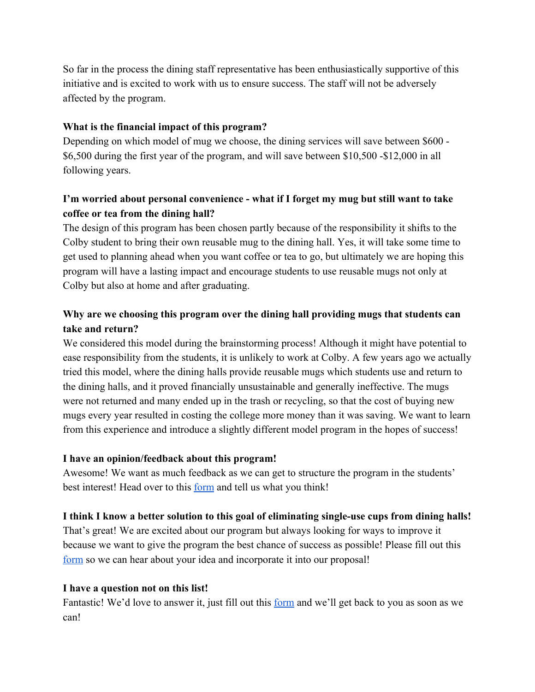So far in the process the dining staff representative has been enthusiastically supportive of this initiative and is excited to work with us to ensure success. The staff will not be adversely affected by the program.

# **What is the financial impact of this program?**

Depending on which model of mug we choose, the dining services will save between \$600 - \$6,500 during the first year of the program, and will save between \$10,500 -\$12,000 in all following years.

# **I'm worried about personal convenience - what if I forget my mug but still want to take coffee or tea from the dining hall?**

The design of this program has been chosen partly because of the responsibility it shifts to the Colby student to bring their own reusable mug to the dining hall. Yes, it will take some time to get used to planning ahead when you want coffee or tea to go, but ultimately we are hoping this program will have a lasting impact and encourage students to use reusable mugs not only at Colby but also at home and after graduating.

# **Why are we choosing this program over the dining hall providing mugs that students can take and return?**

We considered this model during the brainstorming process! Although it might have potential to ease responsibility from the students, it is unlikely to work at Colby. A few years ago we actually tried this model, where the dining halls provide reusable mugs which students use and return to the dining halls, and it proved financially unsustainable and generally ineffective. The mugs were not returned and many ended up in the trash or recycling, so that the cost of buying new mugs every year resulted in costing the college more money than it was saving. We want to learn from this experience and introduce a slightly different model program in the hopes of success!

# **I have an opinion/feedback about this program!**

Awesome! We want as much feedback as we can get to structure the program in the students' best interest! Head over to this <u>[form](https://docs.google.com/forms/d/1-ambEjMh0IPKF2yRg3kwI-LXO8Z50alE3fOGRnFxJM0/edit)</u> and tell us what you think!

# **I think I know a better solution to this goal of eliminating single-use cups from dining halls!**

That's great! We are excited about our program but always looking for ways to improve it because we want to give the program the best chance of success as possible! Please fill out this [form](https://docs.google.com/forms/d/1-ambEjMh0IPKF2yRg3kwI-LXO8Z50alE3fOGRnFxJM0/edit) so we can hear about your idea and incorporate it into our proposal!

# **I have a question not on this list!**

Fantastic! We'd love to answer it, just fill out this <u>form</u> and we'll get back to you as soon as we can!